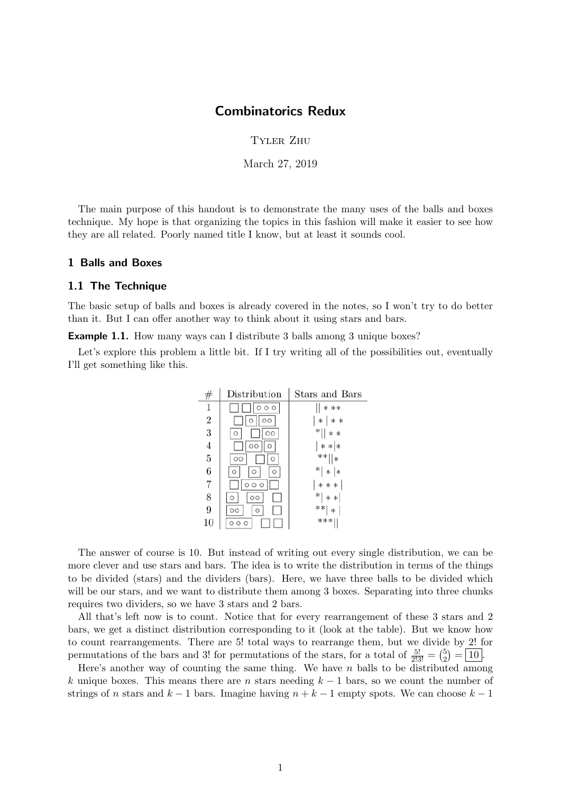## Combinatorics Redux

Tyler Zhu

March 27, 2019

The main purpose of this handout is to demonstrate the many uses of the balls and boxes technique. My hope is that organizing the topics in this fashion will make it easier to see how they are all related. Poorly named title I know, but at least it sounds cool.

#### 1 Balls and Boxes

#### 1.1 The Technique

The basic setup of balls and boxes is already covered in the notes, so I won't try to do better than it. But I can offer another way to think about it using stars and bars.

**Example 1.1.** How many ways can I distribute 3 balls among 3 unique boxes?

Let's explore this problem a little bit. If I try writing all of the possibilities out, eventually I'll get something like this.

|                | Distribution            | Stars and Bars  |
|----------------|-------------------------|-----------------|
| 1              | $\circ$ $\circ$         | * **            |
| $\overline{2}$ | $\circ$                 | $* *$<br>$*1$   |
| 3              | $\circ$<br>O            | $*  $<br>$* *$  |
| $\overline{4}$ | $\circ \circ$<br>O      | ∗ ∗ ∗           |
| 5              | $\circ$<br>O            | **  *           |
| 6              | $\circ$<br>O<br>$\circ$ | $*$   $*$   $*$ |
| $\overline{7}$ | O<br>$\circ$            | $***$           |
| 8              | $\circ$                 | $* $<br>$* *$   |
| 9              | $\circ$<br>$\circ$      | **  *           |
| 10             | $\circ$<br>$\circ$      | ***             |

The answer of course is 10. But instead of writing out every single distribution, we can be more clever and use stars and bars. The idea is to write the distribution in terms of the things to be divided (stars) and the dividers (bars). Here, we have three balls to be divided which will be our stars, and we want to distribute them among 3 boxes. Separating into three chunks requires two dividers, so we have 3 stars and 2 bars.

All that's left now is to count. Notice that for every rearrangement of these 3 stars and 2 bars, we get a distinct distribution corresponding to it (look at the table). But we know how to count rearrangements. There are 5! total ways to rearrange them, but we divide by 2! for permutations of the bars and 3! for permutations of the stars, for a total of  $\frac{5!}{2!3!} = \binom{5}{2}$  $_{2}^{5}) = \boxed{10}$ .

Here's another way of counting the same thing. We have  $n$  balls to be distributed among k unique boxes. This means there are n stars needing  $k-1$  bars, so we count the number of strings of n stars and  $k-1$  bars. Imagine having  $n+k-1$  empty spots. We can choose  $k-1$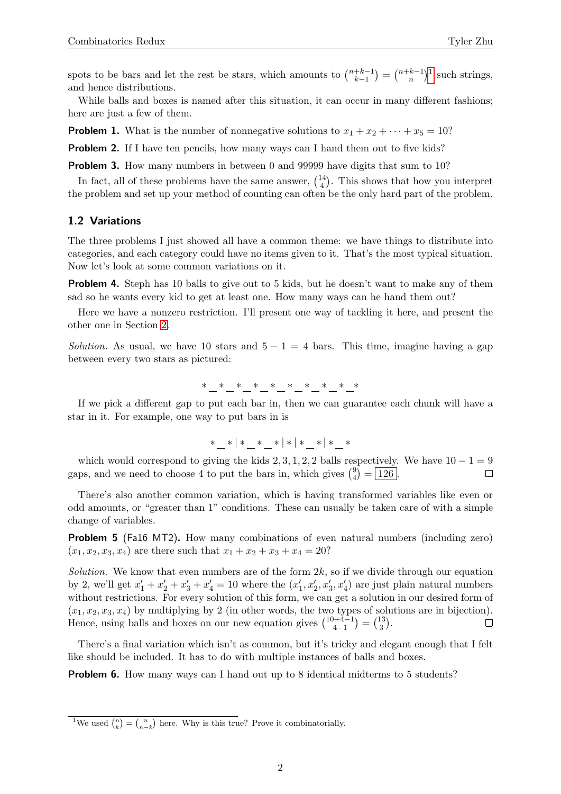spots to be bars and let the rest be stars, which amounts to  $\binom{n+k-1}{k-1}$  $\binom{+k-1}{k-1} = \binom{n+k-1}{n}$  $\binom{k-1}{n}$  $\binom{k-1}{n}$  $\binom{k-1}{n}$ <sup>1</sup> such strings, and hence distributions.

While balls and boxes is named after this situation, it can occur in many different fashions; here are just a few of them.

**Problem 1.** What is the number of nonnegative solutions to  $x_1 + x_2 + \cdots + x_5 = 10$ ?

**Problem 2.** If I have ten pencils, how many ways can I hand them out to five kids?

**Problem 3.** How many numbers in between 0 and 99999 have digits that sum to 10?

In fact, all of these problems have the same answer,  $\binom{14}{4}$  $\binom{14}{4}$ . This shows that how you interpret the problem and set up your method of counting can often be the only hard part of the problem.

#### 1.2 Variations

The three problems I just showed all have a common theme: we have things to distribute into categories, and each category could have no items given to it. That's the most typical situation. Now let's look at some common variations on it.

Problem 4. Steph has 10 balls to give out to 5 kids, but he doesn't want to make any of them sad so he wants every kid to get at least one. How many ways can he hand them out?

Here we have a nonzero restriction. I'll present one way of tackling it here, and present the other one in Section [2.](#page-2-0)

Solution. As usual, we have 10 stars and  $5 - 1 = 4$  bars. This time, imagine having a gap between every two stars as pictured:

∗ ∗ ∗ ∗ ∗ ∗ ∗ ∗ ∗ ∗

If we pick a different gap to put each bar in, then we can guarantee each chunk will have a star in it. For example, one way to put bars in is

$$
*{\_}{*}{|*|}*
$$

which would correspond to giving the kids 2, 3, 1, 2, 2 balls respectively. We have  $10 - 1 = 9$ gaps, and we need to choose 4 to put the bars in, which gives  $\binom{9}{4}$  $_{4}^{9}$  =  $\boxed{126}$ .  $\Box$ 

There's also another common variation, which is having transformed variables like even or odd amounts, or "greater than 1" conditions. These can usually be taken care of with a simple change of variables.

**Problem 5** (Fa16 MT2). How many combinations of even natural numbers (including zero)  $(x_1, x_2, x_3, x_4)$  are there such that  $x_1 + x_2 + x_3 + x_4 = 20$ ?

Solution. We know that even numbers are of the form  $2k$ , so if we divide through our equation by 2, we'll get  $x'_1 + x'_2 + x'_3 + x'_4 = 10$  where the  $(x'_1, x'_2, x'_3, x'_4)$  are just plain natural numbers without restrictions. For every solution of this form, we can get a solution in our desired form of  $(x_1, x_2, x_3, x_4)$  by multiplying by 2 (in other words, the two types of solutions are in bijection). Hence, using balls and boxes on our new equation gives  $\binom{10+4-1}{4-1}$  $\binom{1+4-1}{4-1} = \binom{13}{3}$  $\binom{13}{3}$ .

There's a final variation which isn't as common, but it's tricky and elegant enough that I felt like should be included. It has to do with multiple instances of balls and boxes.

<span id="page-1-1"></span>**Problem 6.** How many ways can I hand out up to 8 identical midterms to 5 students?

<span id="page-1-0"></span><sup>&</sup>lt;sup>1</sup>We used  $\binom{n}{k} = \binom{n}{n-k}$  here. Why is this true? Prove it combinatorially.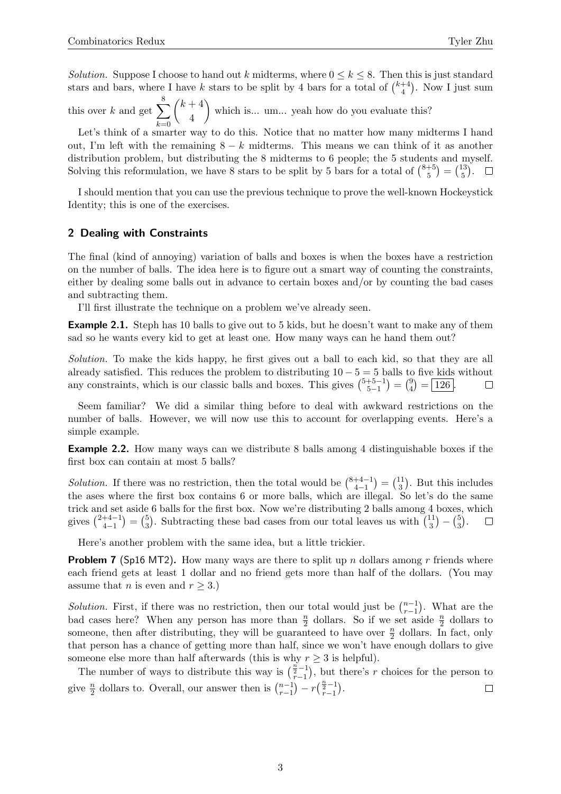Solution. Suppose I choose to hand out k midterms, where  $0 \le k \le 8$ . Then this is just standard stars and bars, where I have k stars to be split by 4 bars for a total of  $\binom{k+4}{4}$  $\binom{+4}{4}$ . Now I just sum

this over k and get  $\sum$ 8  $k=0$  $(k+4)$ 4 which is... um... yeah how do you evaluate this?

Let's think of a smarter way to do this. Notice that no matter how many midterms I hand out, I'm left with the remaining  $8 - k$  midterms. This means we can think of it as another distribution problem, but distributing the 8 midterms to 6 people; the 5 students and myself. Solving this reformulation, we have 8 stars to be split by 5 bars for a total of  $\binom{8+5}{5}$  $\binom{+5}{5} = \binom{13}{5}$  $_{5}^{13}$ .  $\Box$ 

I should mention that you can use the previous technique to prove the well-known Hockeystick Identity; this is one of the exercises.

#### <span id="page-2-0"></span>2 Dealing with Constraints

The final (kind of annoying) variation of balls and boxes is when the boxes have a restriction on the number of balls. The idea here is to figure out a smart way of counting the constraints, either by dealing some balls out in advance to certain boxes and/or by counting the bad cases and subtracting them.

I'll first illustrate the technique on a problem we've already seen.

**Example 2.1.** Steph has 10 balls to give out to 5 kids, but he doesn't want to make any of them sad so he wants every kid to get at least one. How many ways can he hand them out?

Solution. To make the kids happy, he first gives out a ball to each kid, so that they are all already satisfied. This reduces the problem to distributing  $10 - 5 = 5$  balls to five kids without any constraints, which is our classic balls and boxes. This gives  $\binom{5+5-1}{5-1}$  $\binom{+5-1}{5-1} = \binom{9}{4}$  $_{4}^{9}$  $=$   $\boxed{126}$ .  $\Box$ 

Seem familiar? We did a similar thing before to deal with awkward restrictions on the number of balls. However, we will now use this to account for overlapping events. Here's a simple example.

Example 2.2. How many ways can we distribute 8 balls among 4 distinguishable boxes if the first box can contain at most 5 balls?

*Solution*. If there was no restriction, then the total would be  $\binom{8+4-1}{4-1}$  $\binom{+4-1}{4-1} = \binom{11}{3}$  $\binom{11}{3}$ . But this includes the ases where the first box contains 6 or more balls, which are illegal. So let's do the same trick and set aside 6 balls for the first box. Now we're distributing 2 balls among 4 boxes, which gives  $\binom{2+4-1}{4-1}$  $\binom{+4-1}{4-1} = \binom{5}{3}$  $\frac{5}{3}$ . Subtracting these bad cases from our total leaves us with  $\binom{11}{3}$  $\binom{11}{3} - \binom{5}{3}$  $\binom{5}{3}$  .  $\Box$ 

Here's another problem with the same idea, but a little trickier.

**Problem 7** (Sp16 MT2). How many ways are there to split up n dollars among r friends where each friend gets at least 1 dollar and no friend gets more than half of the dollars. (You may assume that *n* is even and  $r \geq 3$ .)

*Solution.* First, if there was no restriction, then our total would just be  $\binom{n-1}{r-1}$  $_{r-1}^{n-1}$ ). What are the bad cases here? When any person has more than  $\frac{n}{2}$  dollars. So if we set aside  $\frac{n}{2}$  dollars to someone, then after distributing, they will be guaranteed to have over  $\frac{n}{2}$  dollars. In fact, only that person has a chance of getting more than half, since we won't have enough dollars to give someone else more than half afterwards (this is why  $r \geq 3$  is helpful).

The number of ways to distribute this way is  $\left(\frac{\vec{r}}{r-1}\right)$ , but there's r choices for the person to  $\binom{n-1}{r-1} - r \left( \frac{\frac{n}{2} - 1}{r-1} \right).$ give  $\frac{n}{2}$  dollars to. Overall, our answer then is  $\binom{n-1}{r-1}$  $\Box$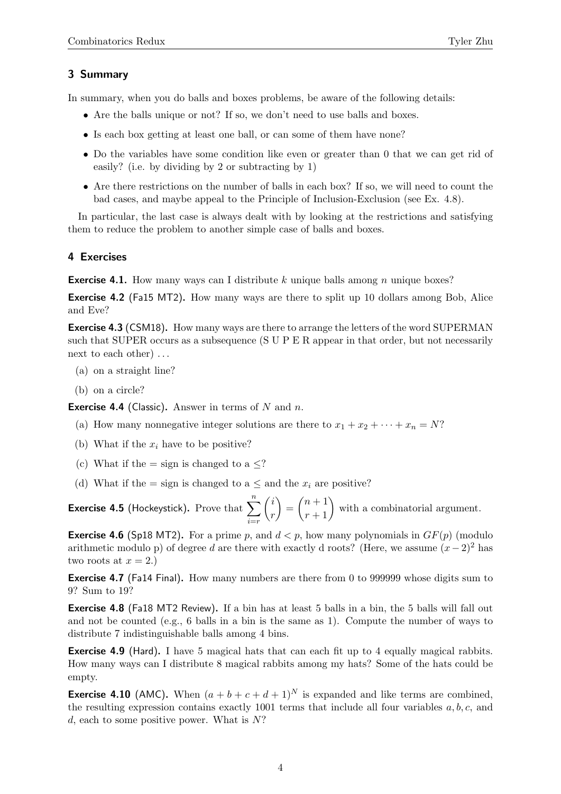### 3 Summary

In summary, when you do balls and boxes problems, be aware of the following details:

- Are the balls unique or not? If so, we don't need to use balls and boxes.
- Is each box getting at least one ball, or can some of them have none?
- Do the variables have some condition like even or greater than 0 that we can get rid of easily? (i.e. by dividing by 2 or subtracting by 1)
- Are there restrictions on the number of balls in each box? If so, we will need to count the bad cases, and maybe appeal to the Principle of Inclusion-Exclusion (see Ex. 4.8).

In particular, the last case is always dealt with by looking at the restrictions and satisfying them to reduce the problem to another simple case of balls and boxes.

#### 4 Exercises

**Exercise 4.1.** How many ways can I distribute k unique balls among n unique boxes?

Exercise 4.2 (Fa15 MT2). How many ways are there to split up 10 dollars among Bob, Alice and Eve?

Exercise 4.3 (CSM18). How many ways are there to arrange the letters of the word SUPERMAN such that SUPER occurs as a subsequence (S U P E R appear in that order, but not necessarily next to each other) ...

- (a) on a straight line?
- (b) on a circle?

**Exercise 4.4** (Classic). Answer in terms of  $N$  and  $n$ .

- (a) How many nonnegative integer solutions are there to  $x_1 + x_2 + \cdots + x_n = N$ ?
- (b) What if the  $x_i$  have to be positive?
- (c) What if the = sign is changed to a  $\leq$ ?
- (d) What if the = sign is changed to a  $\leq$  and the  $x_i$  are positive?

**Exercise 4.5** (Hockeystick). Prove that  $\sum_{n=1}^{n}$  $i=r$  $\int i$ r  $\binom{n+1}{r+1}$  with a combinatorial argument.

**Exercise 4.6** (Sp18 MT2). For a prime p, and  $d < p$ , how many polynomials in  $GF(p)$  (modulo arithmetic modulo p) of degree d are there with exactly d roots? (Here, we assume  $(x-2)^2$  has two roots at  $x = 2$ .)

Exercise 4.7 (Fa14 Final). How many numbers are there from 0 to 999999 whose digits sum to 9? Sum to 19?

Exercise 4.8 (Fa18 MT2 Review). If a bin has at least 5 balls in a bin, the 5 balls will fall out and not be counted (e.g., 6 balls in a bin is the same as 1). Compute the number of ways to distribute 7 indistinguishable balls among 4 bins.

Exercise 4.9 (Hard). I have 5 magical hats that can each fit up to 4 equally magical rabbits. How many ways can I distribute 8 magical rabbits among my hats? Some of the hats could be empty.

**Exercise 4.10** (AMC). When  $(a + b + c + d + 1)^N$  is expanded and like terms are combined, the resulting expression contains exactly 1001 terms that include all four variables  $a, b, c$ , and d, each to some positive power. What is  $N$ ?